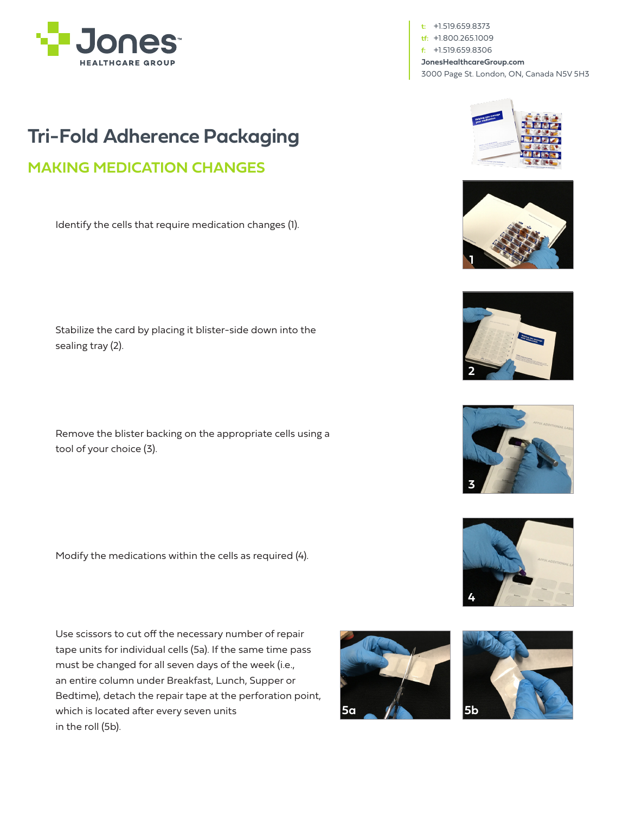

**t:** +1.519.659.8373 **tf:** +1.800.265.1009 **f:** +1.519.659.8306 **JonesHealthcareGroup.com** 3000 Page St. London, ON, Canada N5V 5H3

## **Tri-Fold Adherence Packaging**

## **MAKING MEDICATION CHANGES**

Identify the cells that require medication changes (1).

Stabilize the card by placing it blister-side down into the sealing tray (2).

Remove the blister backing on the appropriate cells using a tool of your choice (3).

Modify the medications within the cells as required (4).

Use scissors to cut off the necessary number of repair tape units for individual cells (5a). If the same time pass must be changed for all seven days of the week (i.e., an entire column under Breakfast, Lunch, Supper or Bedtime), detach the repair tape at the perforation point, which is located after every seven units in the roll (5b).







**1**





**4**